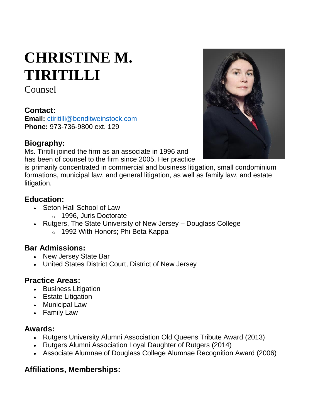# **CHRISTINE M. TIRITILLI**

Counsel

## **Contact:**

**Email:** [ctiritilli@benditweinstock.com](mailto:ctiritilli@benditweinstock.com) **Phone:** 973-736-9800 ext. 129

### **Biography:**

Ms. Tiritilli joined the firm as an associate in 1996 and has been of counsel to the firm since 2005. Her practice

is primarily concentrated in commercial and business litigation, small condominium formations, municipal law, and general litigation, as well as family law, and estate litigation.

## **Education:**

- Seton Hall School of Law
	- o 1996, Juris Doctorate
- Rutgers, The State University of New Jersey Douglass College o 1992 With Honors; Phi Beta Kappa

### **Bar Admissions:**

- New Jersey State Bar
- United States District Court, District of New Jersey

### **Practice Areas:**

- Business Litigation
- Estate Litigation
- Municipal Law
- Family Law

#### **Awards:**

- Rutgers University Alumni Association Old Queens Tribute Award (2013)
- Rutgers Alumni Association Loyal Daughter of Rutgers (2014)
- Associate Alumnae of Douglass College Alumnae Recognition Award (2006)

## **Affiliations, Memberships:**